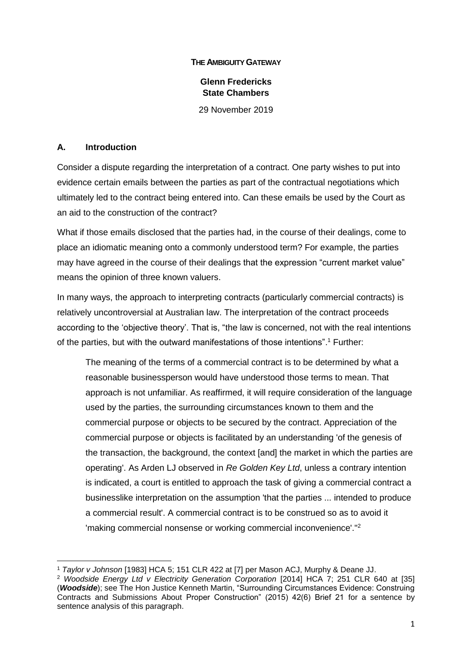#### **THE AMBIGUITY GATEWAY**

### **Glenn Fredericks State Chambers**

29 November 2019

#### **A. Introduction**

**.** 

Consider a dispute regarding the interpretation of a contract. One party wishes to put into evidence certain emails between the parties as part of the contractual negotiations which ultimately led to the contract being entered into. Can these emails be used by the Court as an aid to the construction of the contract?

What if those emails disclosed that the parties had, in the course of their dealings, come to place an idiomatic meaning onto a commonly understood term? For example, the parties may have agreed in the course of their dealings that the expression "current market value" means the opinion of three known valuers.

In many ways, the approach to interpreting contracts (particularly commercial contracts) is relatively uncontroversial at Australian law. The interpretation of the contract proceeds according to the 'objective theory'. That is, "the law is concerned, not with the real intentions of the parties, but with the outward manifestations of those intentions". <sup>1</sup> Further:

The meaning of the terms of a commercial contract is to be determined by what a reasonable businessperson would have understood those terms to mean. That approach is not unfamiliar. As reaffirmed, it will require consideration of the language used by the parties, the surrounding circumstances known to them and the commercial purpose or objects to be secured by the contract. Appreciation of the commercial purpose or objects is facilitated by an understanding 'of the genesis of the transaction, the background, the context [and] the market in which the parties are operating'. As Arden LJ observed in *Re Golden Key Ltd*, unless a contrary intention is indicated, a court is entitled to approach the task of giving a commercial contract a businesslike interpretation on the assumption 'that the parties ... intended to produce a commercial result'. A commercial contract is to be construed so as to avoid it 'making commercial nonsense or working commercial inconvenience'."<sup>2</sup>

<sup>1</sup> *Taylor v Johnson* [1983] HCA 5; 151 CLR 422 at [7] per Mason ACJ, Murphy & Deane JJ.

<sup>2</sup> *Woodside Energy Ltd v Electricity Generation Corporation* [2014] HCA 7; 251 CLR 640 at [35] (*Woodside*); see The Hon Justice Kenneth Martin, "Surrounding Circumstances Evidence: Construing Contracts and Submissions About Proper Construction" (2015) 42(6) Brief 21 for a sentence by sentence analysis of this paragraph.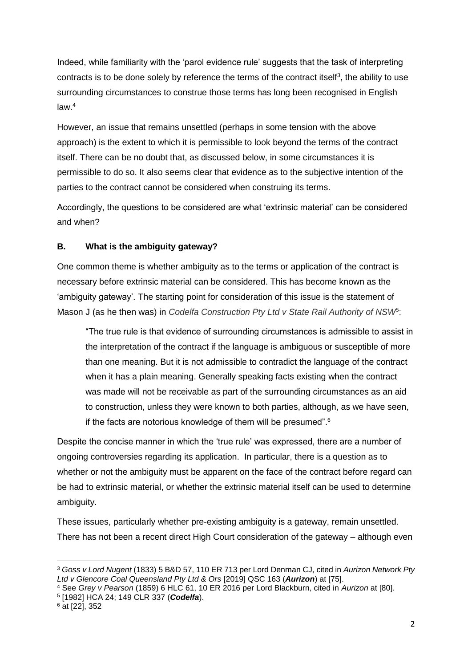Indeed, while familiarity with the 'parol evidence rule' suggests that the task of interpreting contracts is to be done solely by reference the terms of the contract itself<sup>3</sup>, the ability to use surrounding circumstances to construe those terms has long been recognised in English law. 4

However, an issue that remains unsettled (perhaps in some tension with the above approach) is the extent to which it is permissible to look beyond the terms of the contract itself. There can be no doubt that, as discussed below, in some circumstances it is permissible to do so. It also seems clear that evidence as to the subjective intention of the parties to the contract cannot be considered when construing its terms.

Accordingly, the questions to be considered are what 'extrinsic material' can be considered and when?

### **B. What is the ambiguity gateway?**

One common theme is whether ambiguity as to the terms or application of the contract is necessary before extrinsic material can be considered. This has become known as the 'ambiguity gateway'. The starting point for consideration of this issue is the statement of Mason J (as he then was) in *Codelfa Construction Pty Ltd v State Rail Authority of NSW*<sup>5</sup>:

"The true rule is that evidence of surrounding circumstances is admissible to assist in the interpretation of the contract if the language is ambiguous or susceptible of more than one meaning. But it is not admissible to contradict the language of the contract when it has a plain meaning. Generally speaking facts existing when the contract was made will not be receivable as part of the surrounding circumstances as an aid to construction, unless they were known to both parties, although, as we have seen, if the facts are notorious knowledge of them will be presumed".<sup>6</sup>

Despite the concise manner in which the 'true rule' was expressed, there are a number of ongoing controversies regarding its application. In particular, there is a question as to whether or not the ambiguity must be apparent on the face of the contract before regard can be had to extrinsic material, or whether the extrinsic material itself can be used to determine ambiguity.

These issues, particularly whether pre-existing ambiguity is a gateway, remain unsettled. There has not been a recent direct High Court consideration of the gateway – although even

5 [1982] HCA 24; 149 CLR 337 (*Codelfa*).

**<sup>.</sup>** <sup>3</sup> *Goss v Lord Nugent* (1833) 5 B&D 57, 110 ER 713 per Lord Denman CJ, cited in *Aurizon Network Pty Ltd v Glencore Coal Queensland Pty Ltd & Ors* [2019] QSC 163 (*Aurizon*) at [75].

<sup>4</sup> See *Grey v Pearson* (1859) 6 HLC 61, 10 ER 2016 per Lord Blackburn, cited in *Aurizon* at [80].

 $6$  at [22], 352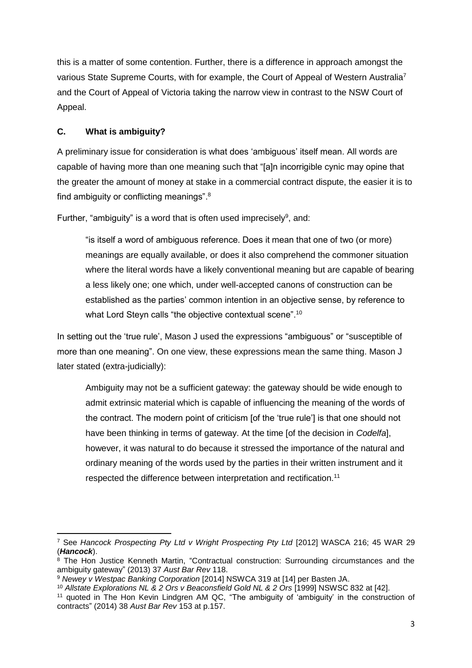this is a matter of some contention. Further, there is a difference in approach amongst the various State Supreme Courts, with for example, the Court of Appeal of Western Australia<sup>7</sup> and the Court of Appeal of Victoria taking the narrow view in contrast to the NSW Court of Appeal.

## **C. What is ambiguity?**

A preliminary issue for consideration is what does 'ambiguous' itself mean. All words are capable of having more than one meaning such that "[a]n incorrigible cynic may opine that the greater the amount of money at stake in a commercial contract dispute, the easier it is to find ambiguity or conflicting meanings".<sup>8</sup>

Further, "ambiguity" is a word that is often used imprecisely $9$ , and:

"is itself a word of ambiguous reference. Does it mean that one of two (or more) meanings are equally available, or does it also comprehend the commoner situation where the literal words have a likely conventional meaning but are capable of bearing a less likely one; one which, under well-accepted canons of construction can be established as the parties' common intention in an objective sense, by reference to what Lord Steyn calls "the objective contextual scene".<sup>10</sup>

In setting out the 'true rule', Mason J used the expressions "ambiguous" or "susceptible of more than one meaning". On one view, these expressions mean the same thing. Mason J later stated (extra-judicially):

Ambiguity may not be a sufficient gateway: the gateway should be wide enough to admit extrinsic material which is capable of influencing the meaning of the words of the contract. The modern point of criticism [of the 'true rule'] is that one should not have been thinking in terms of gateway. At the time [of the decision in *Codelfa*], however, it was natural to do because it stressed the importance of the natural and ordinary meaning of the words used by the parties in their written instrument and it respected the difference between interpretation and rectification.<sup>11</sup>

**<sup>.</sup>** <sup>7</sup> See Hancock Prospecting Pty Ltd v Wright Prospecting Pty Ltd [2012] WASCA 216; 45 WAR 29 (*Hancock*).

 $8$  The Hon Justice Kenneth Martin, "Contractual construction: Surrounding circumstances and the ambiguity gateway" (2013) 37 *Aust Bar Rev* 118.

<sup>9</sup> *Newey v Westpac Banking Corporation* [2014] NSWCA 319 at [14] per Basten JA.

<sup>10</sup> *Allstate Explorations NL & 2 Ors v Beaconsfield Gold NL & 2 Ors* [1999] NSWSC 832 at [42].

<sup>&</sup>lt;sup>11</sup> quoted in The Hon Kevin Lindgren AM QC, "The ambiguity of 'ambiguity' in the construction of contracts" (2014) 38 *Aust Bar Rev* 153 at p.157.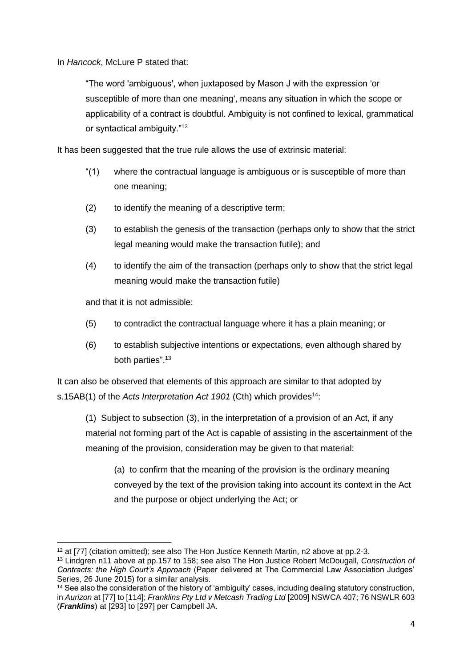In *Hancock*, McLure P stated that:

"The word 'ambiguous', when juxtaposed by Mason J with the expression 'or susceptible of more than one meaning', means any situation in which the scope or applicability of a contract is doubtful. Ambiguity is not confined to lexical, grammatical or syntactical ambiguity."<sup>12</sup>

It has been suggested that the true rule allows the use of extrinsic material:

- "(1) where the contractual language is ambiguous or is susceptible of more than one meaning;
- (2) to identify the meaning of a descriptive term;
- (3) to establish the genesis of the transaction (perhaps only to show that the strict legal meaning would make the transaction futile); and
- (4) to identify the aim of the transaction (perhaps only to show that the strict legal meaning would make the transaction futile)

and that it is not admissible:

- (5) to contradict the contractual language where it has a plain meaning; or
- (6) to establish subjective intentions or expectations, even although shared by both parties". 13

It can also be observed that elements of this approach are similar to that adopted by s.15AB(1) of the *Acts Interpretation Act 1901* (Cth) which provides<sup>14</sup>:

(1) Subject to subsection (3), in the interpretation of a provision of an Act, if any material not forming part of the Act is capable of assisting in the ascertainment of the meaning of the provision, consideration may be given to that material:

(a) to confirm that the meaning of the provision is the ordinary meaning conveyed by the text of the provision taking into account its context in the Act and the purpose or object underlying the Act; or

**<sup>.</sup>** <sup>12</sup> at [77] (citation omitted); see also The Hon Justice Kenneth Martin, n2 above at pp.2-3.

<sup>13</sup> Lindgren n11 above at pp.157 to 158; see also The Hon Justice Robert McDougall, *Construction of Contracts: the High Court's Approach* (Paper delivered at The Commercial Law Association Judges' Series, 26 June 2015) for a similar analysis.

<sup>&</sup>lt;sup>14</sup> See also the consideration of the history of 'ambiguity' cases, including dealing statutory construction. in *Aurizon* at [77] to [114]; *Franklins Pty Ltd v Metcash Trading Ltd* [2009] NSWCA 407; 76 NSWLR 603 (*Franklins*) at [293] to [297] per Campbell JA.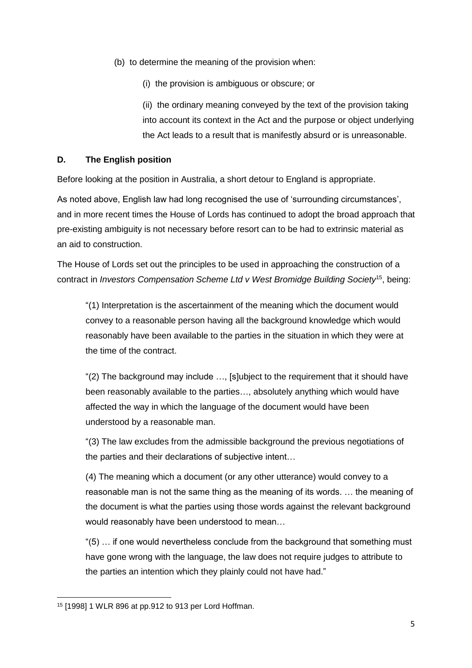- (b) to determine the meaning of the provision when:
	- (i) the provision is ambiguous or obscure; or

(ii) the ordinary meaning conveyed by the text of the provision taking into account its context in the Act and the purpose or object underlying the Act leads to a result that is manifestly absurd or is unreasonable.

### **D. The English position**

Before looking at the position in Australia, a short detour to England is appropriate.

As noted above, English law had long recognised the use of 'surrounding circumstances', and in more recent times the House of Lords has continued to adopt the broad approach that pre-existing ambiguity is not necessary before resort can to be had to extrinsic material as an aid to construction.

The House of Lords set out the principles to be used in approaching the construction of a contract in *Investors Compensation Scheme Ltd v West Bromidge Building Society*<sup>15</sup>, being:

"(1) Interpretation is the ascertainment of the meaning which the document would convey to a reasonable person having all the background knowledge which would reasonably have been available to the parties in the situation in which they were at the time of the contract.

"(2) The background may include …, [s]ubject to the requirement that it should have been reasonably available to the parties…, absolutely anything which would have affected the way in which the language of the document would have been understood by a reasonable man.

"(3) The law excludes from the admissible background the previous negotiations of the parties and their declarations of subjective intent…

(4) The meaning which a document (or any other utterance) would convey to a reasonable man is not the same thing as the meaning of its words. … the meaning of the document is what the parties using those words against the relevant background would reasonably have been understood to mean…

"(5) … if one would nevertheless conclude from the background that something must have gone wrong with the language, the law does not require judges to attribute to the parties an intention which they plainly could not have had."

**<sup>.</sup>** <sup>15</sup> [1998] 1 WLR 896 at pp.912 to 913 per Lord Hoffman.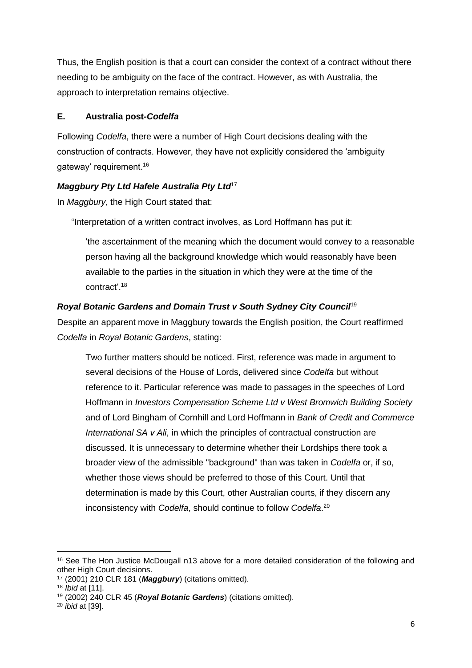Thus, the English position is that a court can consider the context of a contract without there needing to be ambiguity on the face of the contract. However, as with Australia, the approach to interpretation remains objective.

## **E. Australia post***-Codelfa*

Following *Codelfa*, there were a number of High Court decisions dealing with the construction of contracts. However, they have not explicitly considered the 'ambiguity gateway' requirement.<sup>16</sup>

# *Maggbury Pty Ltd Hafele Australia Pty Ltd*<sup>17</sup>

In *Maggbury*, the High Court stated that:

"Interpretation of a written contract involves, as Lord Hoffmann has put it:

'the ascertainment of the meaning which the document would convey to a reasonable person having all the background knowledge which would reasonably have been available to the parties in the situation in which they were at the time of the contract'. 18

# *Royal Botanic Gardens and Domain Trust v South Sydney City Council*<sup>19</sup>

Despite an apparent move in Maggbury towards the English position, the Court reaffirmed *Codelfa* in *Royal Botanic Gardens*, stating:

Two further matters should be noticed. First, reference was made in argument to several decisions of the House of Lords, delivered since *Codelfa* but without reference to it. Particular reference was made to passages in the speeches of Lord Hoffmann in *Investors Compensation Scheme Ltd v West Bromwich Building Society* and of Lord Bingham of Cornhill and Lord Hoffmann in *Bank of Credit and Commerce International SA v Ali*, in which the principles of contractual construction are discussed. It is unnecessary to determine whether their Lordships there took a broader view of the admissible "background" than was taken in *Codelfa* or, if so, whether those views should be preferred to those of this Court. Until that determination is made by this Court, other Australian courts, if they discern any inconsistency with *Codelfa*, should continue to follow *Codelfa*. 20

<sup>1</sup> <sup>16</sup> See The Hon Justice McDougall n13 above for a more detailed consideration of the following and other High Court decisions.

<sup>17</sup> (2001) 210 CLR 181 (*Maggbury*) (citations omitted).

<sup>18</sup> *Ibid* at [11].

<sup>19</sup> (2002) 240 CLR 45 (*Royal Botanic Gardens*) (citations omitted).

<sup>20</sup> *ibid* at [39].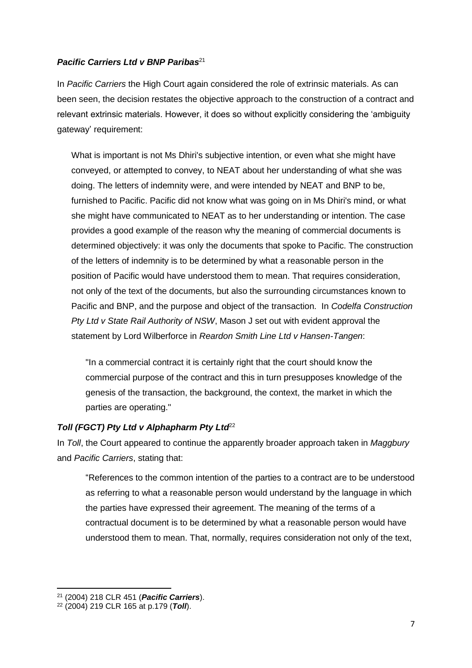#### **Pacific Carriers Ltd v BNP Paribas**<sup>21</sup>

In *Pacific Carriers* the High Court again considered the role of extrinsic materials. As can been seen, the decision restates the objective approach to the construction of a contract and relevant extrinsic materials. However, it does so without explicitly considering the 'ambiguity gateway' requirement:

What is important is not Ms Dhiri's subjective intention, or even what she might have conveyed, or attempted to convey, to NEAT about her understanding of what she was doing. The letters of indemnity were, and were intended by NEAT and BNP to be, furnished to Pacific. Pacific did not know what was going on in Ms Dhiri's mind, or what she might have communicated to NEAT as to her understanding or intention. The case provides a good example of the reason why the meaning of commercial documents is determined objectively: it was only the documents that spoke to Pacific. The construction of the letters of indemnity is to be determined by what a reasonable person in the position of Pacific would have understood them to mean. That requires consideration, not only of the text of the documents, but also the surrounding circumstances known to Pacific and BNP, and the purpose and object of the transaction. In *Codelfa Construction Pty Ltd v State Rail Authority of NSW*, Mason J set out with evident approval the statement by Lord Wilberforce in *Reardon Smith Line Ltd v Hansen-Tangen*:

"In a commercial contract it is certainly right that the court should know the commercial purpose of the contract and this in turn presupposes knowledge of the genesis of the transaction, the background, the context, the market in which the parties are operating."

### Toll (FGCT) Pty Ltd v Alphapharm Pty Ltd<sup>22</sup>

In *Toll*, the Court appeared to continue the apparently broader approach taken in *Maggbury* and *Pacific Carriers*, stating that:

"References to the common intention of the parties to a contract are to be understood as referring to what a reasonable person would understand by the language in which the parties have expressed their agreement. The meaning of the terms of a contractual document is to be determined by what a reasonable person would have understood them to mean. That, normally, requires consideration not only of the text,

**.** 

<sup>21</sup> (2004) 218 CLR 451 (*Pacific Carriers*).

<sup>22</sup> (2004) 219 CLR 165 at p.179 (*Toll*).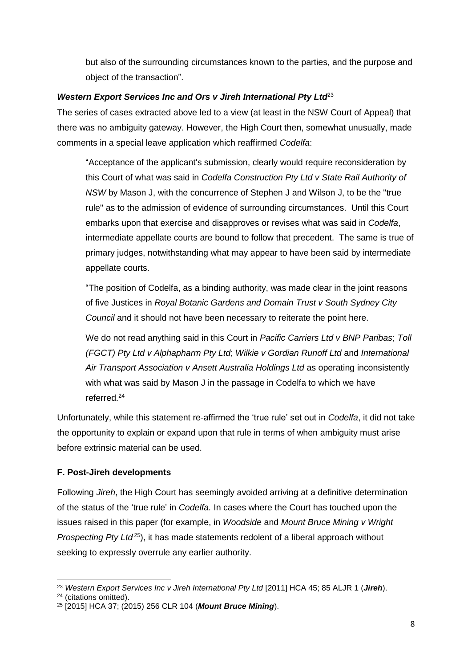but also of the surrounding circumstances known to the parties, and the purpose and object of the transaction".

### *Western Export Services Inc and Ors v Jireh International Pty Ltd*<sup>23</sup>

The series of cases extracted above led to a view (at least in the NSW Court of Appeal) that there was no ambiguity gateway. However, the High Court then, somewhat unusually, made comments in a special leave application which reaffirmed *Codelfa*:

"Acceptance of the applicant's submission, clearly would require reconsideration by this Court of what was said in *Codelfa Construction Pty Ltd v State Rail Authority of NSW* by Mason J, with the concurrence of Stephen J and Wilson J, to be the "true rule" as to the admission of evidence of surrounding circumstances. Until this Court embarks upon that exercise and disapproves or revises what was said in *Codelfa*, intermediate appellate courts are bound to follow that precedent. The same is true of primary judges, notwithstanding what may appear to have been said by intermediate appellate courts.

"The position of Codelfa, as a binding authority, was made clear in the joint reasons of five Justices in *Royal Botanic Gardens and Domain Trust v South Sydney City Council* and it should not have been necessary to reiterate the point here.

We do not read anything said in this Court in *Pacific Carriers Ltd v BNP Paribas*; *Toll (FGCT) Pty Ltd v Alphapharm Pty Ltd*; *Wilkie v Gordian Runoff Ltd* and *International Air Transport Association v Ansett Australia Holdings Ltd* as operating inconsistently with what was said by Mason J in the passage in Codelfa to which we have referred.<sup>24</sup>

Unfortunately, while this statement re-affirmed the 'true rule' set out in *Codelfa*, it did not take the opportunity to explain or expand upon that rule in terms of when ambiguity must arise before extrinsic material can be used.

# **F. Post-Jireh developments**

Following *Jireh*, the High Court has seemingly avoided arriving at a definitive determination of the status of the 'true rule' in *Codelfa.* In cases where the Court has touched upon the issues raised in this paper (for example, in *Woodside* and *Mount Bruce Mining v Wright Prospecting Pty Ltd*<sup>25</sup>), it has made statements redolent of a liberal approach without seeking to expressly overrule any earlier authority.

<sup>1</sup> <sup>23</sup> *Western Export Services Inc v Jireh International Pty Ltd* [2011] HCA 45; 85 ALJR 1 (*Jireh*).

<sup>24</sup> (citations omitted).

<sup>25</sup> [2015] HCA 37; (2015) 256 CLR 104 (*Mount Bruce Mining*).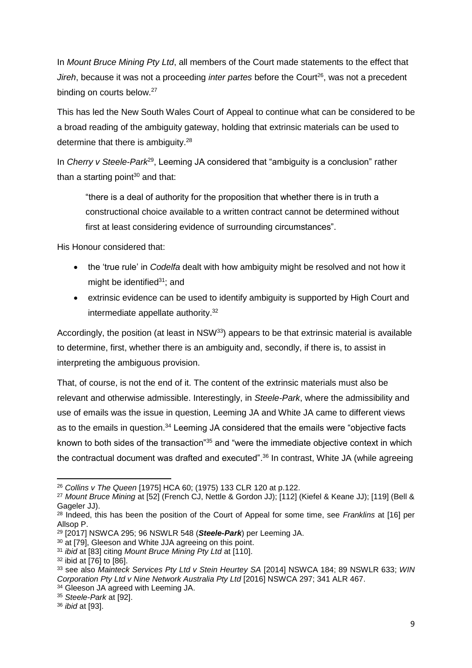In *Mount Bruce Mining Pty Ltd*, all members of the Court made statements to the effect that *Jireh*, because it was not a proceeding *inter partes* before the Court<sup>26</sup>, was not a precedent binding on courts below.<sup>27</sup>

This has led the New South Wales Court of Appeal to continue what can be considered to be a broad reading of the ambiguity gateway, holding that extrinsic materials can be used to determine that there is ambiguity.<sup>28</sup>

In *Cherry v Steele-Park*<sup>29</sup>, Leeming JA considered that "ambiguity is a conclusion" rather than a starting point $30$  and that:

"there is a deal of authority for the proposition that whether there is in truth a constructional choice available to a written contract cannot be determined without first at least considering evidence of surrounding circumstances".

His Honour considered that:

- the 'true rule' in *Codelfa* dealt with how ambiguity might be resolved and not how it might be identified $31$ ; and
- extrinsic evidence can be used to identify ambiguity is supported by High Court and intermediate appellate authority.<sup>32</sup>

Accordingly, the position (at least in NSW<sup>33</sup>) appears to be that extrinsic material is available to determine, first, whether there is an ambiguity and, secondly, if there is, to assist in interpreting the ambiguous provision.

That, of course, is not the end of it. The content of the extrinsic materials must also be relevant and otherwise admissible. Interestingly, in *Steele-Park*, where the admissibility and use of emails was the issue in question, Leeming JA and White JA came to different views as to the emails in question.<sup>34</sup> Leeming JA considered that the emails were "objective facts known to both sides of the transaction"<sup>35</sup> and "were the immediate objective context in which the contractual document was drafted and executed".<sup>36</sup> In contrast, White JA (while agreeing

**<sup>.</sup>** <sup>26</sup> *Collins v The Queen* [1975] HCA 60; (1975) 133 CLR 120 at p.122.

<sup>27</sup> *Mount Bruce Mining* at [52] (French CJ, Nettle & Gordon JJ); [112] (Kiefel & Keane JJ); [119] (Bell & Gageler JJ).

<sup>28</sup> Indeed, this has been the position of the Court of Appeal for some time, see *Franklins* at [16] per Allsop P.

<sup>29</sup> [2017] NSWCA 295; 96 NSWLR 548 (*Steele-Park*) per Leeming JA.

<sup>30</sup> at [79], Gleeson and White JJA agreeing on this point.

<sup>31</sup> *ibid* at [83] citing *Mount Bruce Mining Pty Ltd* at [110].

<sup>32</sup> ibid at [76] to [86].

<sup>33</sup> see also *Mainteck Services Pty Ltd v Stein Heurtey SA* [2014] NSWCA 184; 89 NSWLR 633; *WIN Corporation Pty Ltd v Nine Network Australia Pty Ltd* [2016] NSWCA 297; 341 ALR 467.

<sup>34</sup> Gleeson JA agreed with Leeming JA.

<sup>35</sup> *Steele-Park* at [92].

<sup>36</sup> *ibid* at [93].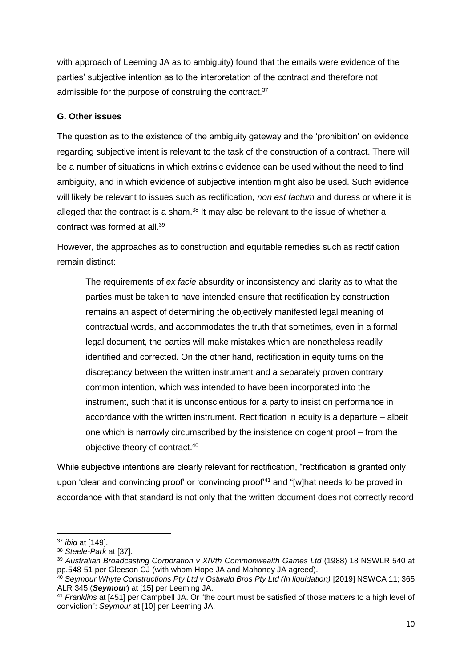with approach of Leeming JA as to ambiguity) found that the emails were evidence of the parties' subjective intention as to the interpretation of the contract and therefore not admissible for the purpose of construing the contract.<sup>37</sup>

## **G. Other issues**

The question as to the existence of the ambiguity gateway and the 'prohibition' on evidence regarding subjective intent is relevant to the task of the construction of a contract. There will be a number of situations in which extrinsic evidence can be used without the need to find ambiguity, and in which evidence of subjective intention might also be used. Such evidence will likely be relevant to issues such as rectification, *non est factum* and duress or where it is alleged that the contract is a sham. $^{38}$  It may also be relevant to the issue of whether a contract was formed at all.<sup>39</sup>

However, the approaches as to construction and equitable remedies such as rectification remain distinct:

The requirements of *ex facie* absurdity or inconsistency and clarity as to what the parties must be taken to have intended ensure that rectification by construction remains an aspect of determining the objectively manifested legal meaning of contractual words, and accommodates the truth that sometimes, even in a formal legal document, the parties will make mistakes which are nonetheless readily identified and corrected. On the other hand, rectification in equity turns on the discrepancy between the written instrument and a separately proven contrary common intention, which was intended to have been incorporated into the instrument, such that it is unconscientious for a party to insist on performance in accordance with the written instrument. Rectification in equity is a departure – albeit one which is narrowly circumscribed by the insistence on cogent proof – from the objective theory of contract. 40

While subjective intentions are clearly relevant for rectification, "rectification is granted only upon 'clear and convincing proof' or 'convincing proof<sup>44</sup> and "[w]hat needs to be proved in accordance with that standard is not only that the written document does not correctly record

**<sup>.</sup>** <sup>37</sup> *ibid* at [149].

<sup>38</sup> *Steele-Park* at [37].

<sup>39</sup> *Australian Broadcasting Corporation v XIVth Commonwealth Games Ltd* (1988) 18 NSWLR 540 at pp.548-51 per Gleeson CJ (with whom Hope JA and Mahoney JA agreed).

<sup>40</sup> *Seymour Whyte Constructions Pty Ltd v Ostwald Bros Pty Ltd (In liquidation)* [2019] NSWCA 11; 365 ALR 345 (*Seymour*) at [15] per Leeming JA.

<sup>41</sup> *Franklins* at [451] per Campbell JA. Or "the court must be satisfied of those matters to a high level of conviction": *Seymour* at [10] per Leeming JA.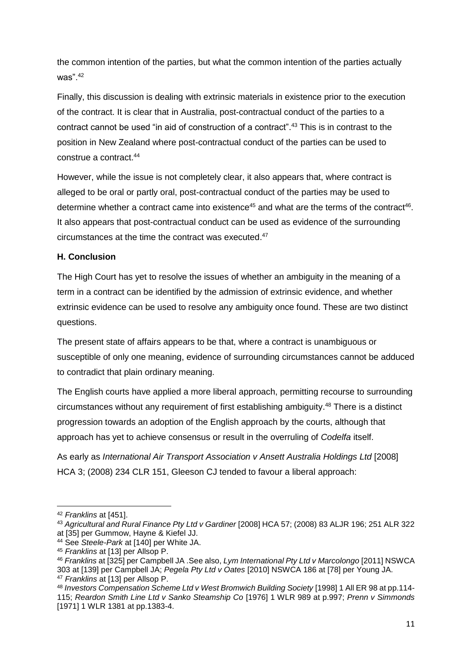the common intention of the parties, but what the common intention of the parties actually was". 42

Finally, this discussion is dealing with extrinsic materials in existence prior to the execution of the contract. It is clear that in Australia, post-contractual conduct of the parties to a contract cannot be used "in aid of construction of a contract". <sup>43</sup> This is in contrast to the position in New Zealand where post-contractual conduct of the parties can be used to construe a contract. 44

However, while the issue is not completely clear, it also appears that, where contract is alleged to be oral or partly oral, post-contractual conduct of the parties may be used to determine whether a contract came into existence<sup>45</sup> and what are the terms of the contract<sup>46</sup>. It also appears that post-contractual conduct can be used as evidence of the surrounding circumstances at the time the contract was executed. 47

## **H. Conclusion**

The High Court has yet to resolve the issues of whether an ambiguity in the meaning of a term in a contract can be identified by the admission of extrinsic evidence, and whether extrinsic evidence can be used to resolve any ambiguity once found. These are two distinct questions.

The present state of affairs appears to be that, where a contract is unambiguous or susceptible of only one meaning, evidence of surrounding circumstances cannot be adduced to contradict that plain ordinary meaning.

The English courts have applied a more liberal approach, permitting recourse to surrounding circumstances without any requirement of first establishing ambiguity. <sup>48</sup> There is a distinct progression towards an adoption of the English approach by the courts, although that approach has yet to achieve consensus or result in the overruling of *Codelfa* itself.

As early as *International Air Transport Association v Ansett Australia Holdings Ltd* [2008] HCA 3; (2008) 234 CLR 151, Gleeson CJ tended to favour a liberal approach:

**.** 

<sup>42</sup> *Franklins* at [451].

<sup>43</sup> *Agricultural and Rural Finance Pty Ltd v Gardiner* [2008] HCA 57; (2008) 83 ALJR 196; 251 ALR 322 at [35] per Gummow, Hayne & Kiefel JJ.

<sup>44</sup> See *Steele-Park* at [140] per White JA.

<sup>45</sup> *Franklins* at [13] per Allsop P.

<sup>46</sup> *Franklins* at [325] per Campbell JA .See also, *Lym International Pty Ltd v Marcolongo* [2011] NSWCA 303 at [139] per Campbell JA; *Pegela Pty Ltd v Oates* [2010] NSWCA 186 at [78] per Young JA. <sup>47</sup> *Franklins* at [13] per Allsop P.

<sup>48</sup> *Investors Compensation Scheme Ltd v West Bromwich Building Society* [1998] 1 All ER 98 at pp.114- 115; *Reardon Smith Line Ltd v Sanko Steamship Co* [1976] 1 WLR 989 at p.997; *Prenn v Simmonds* [1971] 1 WLR 1381 at pp.1383-4.